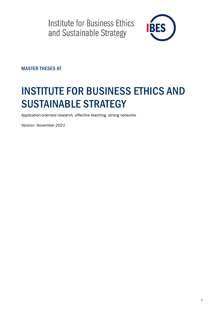

MASTER THESES AT

# INSTITUTE FOR BUSINESS ETHICS AND SUSTAINABLE STRATEGY

*Application-oriented research, effective teaching, strong networks*

*Version: November 2021*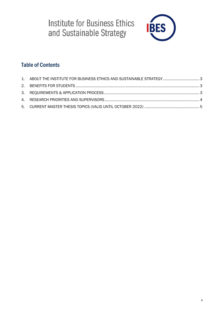

### Table of Contents

| 1. ABOUT THE INSTITUTE FOR BUSINESS ETHICS AND SUSTAINABLE STRATEGY 3 |  |
|-----------------------------------------------------------------------|--|
|                                                                       |  |
|                                                                       |  |
|                                                                       |  |
|                                                                       |  |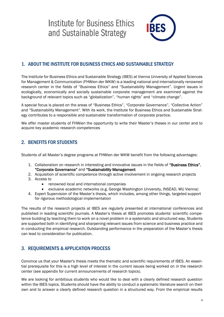

### <span id="page-2-0"></span>1. ABOUT THE INSTITUTE FOR BUSINESS ETHICS AND SUSTAINABLE STRATEGY

The Institute for Business Ethics and Sustainable Strategy (IBES) at Vienna University of Applied Sciences for Management & Communication (FHWien der WKW) is a leading national and internationally renowned research center in the fields of "Business Ethics" and "Sustainability Management". Urgent issues in ecologically, economically and socially sustainable corporate management are examined against the background of relevant topics such as "globalization", "human rights" and "climate change".

A special focus is placed on the areas of "Business Ethics", "Corporate Governance", "Collective Action" and "Sustainability Management". With its work, the Institute for Business Ethics and Sustainable Strategy contributes to a responsible and sustainable transformation of corporate practice.

We offer master students of FHWien the opportunity to write their Master's theses in our center and to acquire key academic research competences

### <span id="page-2-1"></span>2. BENEFITS FOR STUDENTS

Students of all Master's degree programs at FHWien der WKW benefit from the following advantages:

- 1. Collaboration on research in interesting and innovative issues in the fields of "Business Ethics", "Corporate Governance" and "Sustainability Management
- 2. Acquisition of scientific competence through active involvement in ongoing research projects
- 3. Access to
	- renowned local and international companies
	- exclusive academic networks (e.g. George Washington University, INSEAD, WU Vienna)
- 4. Expert Supervision of the Master's thesis, which includes, among other things, targeted support for rigorous methodological implementation

The results of the research projects at IBES are regularly presented at international conferences and published in leading scientific journals. A Master's thesis at IBES promotes students' scientific competence building by teaching them to work on a novel problem in a systematic and structured way. Students are supported both in identifying and sharpening relevant issues from science and business practice and in conducting the empirical research. Outstanding performance in the preparation of the Master's thesis can lead to consideration for publication.

### <span id="page-2-2"></span>3. REQUIREMENTS & APPLICATION PROCESS

Convince us that your Master's thesis meets the thematic and scientific requirements of IBES. An essential prerequisite for this is a high level of interest in the current issues being worked on in the research center (see appendix for current announcements of research topics).

We are looking for ambitious students who would like to deal with a clearly defined research question within the IBES topics. Students should have the ability to conduct a systematic literature search on their own and to answer a clearly defined research question in a structured way. From the empirical results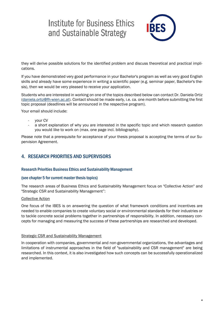

they will derive possible solutions for the identified problem and discuss theoretical and practical implications.

If you have demonstrated very good performance in your Bachelor's program as well as very good English skills and already have some experience in writing a scientific paper (e.g. seminar paper, Bachelor's thesis), then we would be very pleased to receive your application.

Students who are interested in working on one of the topics described below can contact Dr. Daniela Ortiz [\(daniela.ortiz@fh-wien.ac.at\)](mailto:daniela.ortiz@fh-wien.ac.at). Contact should be made early, i.e. ca. one month before submitting the first topic proposal (deadlines will be announced in the respective program).

Your email should include:

- your CV
- a short explanation of why you are interested in the specific topic and which research question you would like to work on (max. one page incl. bibliography).

Please note that a prerequisite for acceptance of your thesis proposal is accepting the terms of our Supervision Agreement.

### <span id="page-3-0"></span>4. RESEARCH PRIORITIES AND SUPERVISORS

### Research Priorities Business Ethics and Sustainability Management

### (see chapter 5 for current master thesis topics)

The research areas of Business Ethics and Sustainability Management focus on "Collective Action" and "Strategic CSR and Sustainability Management":

#### Collective Action

One focus of the IBES is on answering the question of what framework conditions and incentives are needed to enable companies to create voluntary social or environmental standards for their industries or to tackle concrete social problems together in partnerships of responsibility. In addition, necessary concepts for managing and measuring the success of these partnerships are researched and developed.

### **Strategic CSR and Sustainability Management**

In cooperation with companies, governmental and non-governmental organizations, the advantages and limitations of instrumental approaches in the field of "sustainability and CSR management" are being researched. In this context, it is also investigated how such concepts can be successfully operationalized and implemented.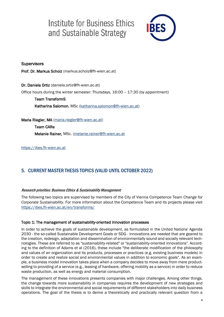

### **Supervisors**

Prof. Dr. Markus Scholz (markus.scholz@fh-wien.ac.at)

Dr. Daniela Ortiz (daniela.ortiz@fh-wien.ac.at) Office hours during the winter semester: Thursdays, 16:00 – 17:30 (by appointment)

Team TransformS Katharina Salomon, MSc [\(katharina.salomon@fh-wien.ac.at\)](mailto:katharina.salomon@fh-wien.ac.at)

Maria Riegler, MA [\(maria.riegler@fh-wien.ac.at\)](mailto:maria.riegler@fh-wien.ac.at)

Team CARe Melanie Rainer, MSc. [\(melanie.rainer@fh-wien.ac.at](mailto:melanie.rainer@fh-wien.ac.at)

[https://ibes.fh-wien.ac.at](https://ibes.fh-wien.ac.at/)

### <span id="page-4-0"></span>5. CURRENT MASTER THESIS TOPICS (VALID UNTIL OCTOBER 2022)

### Research priorities: Business Ethics & Sustainability Management

The following two topics are supervised by members of the City of Vienna Competence Team *Change for Corporate Sustainability*. For more information about the Competence Team and its projects please visit <https://ibes.fh-wien.ac.at/en/transforms/>

### Topic 1: The management of sustainability-oriented innovation processes

In order to achieve the goals of sustainable development, as formulated in the United Nations' Agenda 2030 - the so-called Sustainable Development Goals or SDG - innovations are needed that are geared to the creation, redesign, adaptation and dissemination of environmentally sound and socially relevant technologies. These are referred to as "sustainability-related" or "sustainability-oriented innovations". According to the definition of Adams et al (2016), these include "the deliberate modification of the philosophy and values of an organization and its products, processes or practices (e.g. existing business models) in order to create and realize social and environmental values in addition to economic goals". As an example, a business model innovation takes place when a company decides to move away from mere productselling to providing of a service (e.g., leasing of hardware, offering mobility as a service) in order to reduce waste production, as well as energy and material consumption.

The management of these innovations presents companies with major challenges. Among other things, the change towards more sustainability in companies requires the development of new strategies and skills to integrate the environmental and social requirements of different stakeholders into daily business operations. The goal of the thesis is to derive a theoretically and practically relevant question from a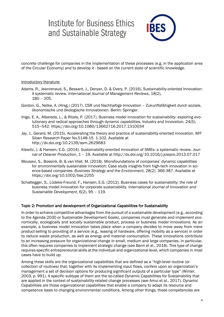

concrete challenge for companies in the implementation of these processes (e.g. in the application area of the Circular Economy) and to develop it - based on the current state of scientific knowledge.

#### Introductory literature:

- Adams, R., Jeanrenaud, S., Bessant, J., Denyer, D. & Overy, P. (2016). Sustainability-oriented Innovation: A systematic review*. International Journal of Management Reviews*, 18(2), 180 – 205.
- Gordon, G., Nelke, A. (Hrsg.) (2017). CSR und Nachhaltige Innovation Zukunftsfähigkeit durch soziale, ökonomische und ökologische Innovationen. Berlin: Springer.
- Inigo, E. A., Albareda, L., & Ritala, P. (2017). Business model innovation for sustainability: exploring evolutionary and radical approaches through dynamic capabilities. Industry and Innovation, 24(5), 515–542. https://doi.org/10.1080/13662716.2017.1310034
- Jay, J., Gerard, M. (2015). Accelerating the theory and practice of sustainability-oriented innovation. *MIT Sloan Research* Paper No.5148-15. 1-102. Available at <http://dx.doi.org/10.2139/ssrn.2629683>
- Klewitz, J. & Hansen, E.G. (2014). Sustainability-oriented innovation of SMEs: a systematic review. *Journal of Cleaner Production*, 1 – 19. Available at <http://dx.doi.org/10.1016/j.jclepro.2013.07.017>
- Mousavi, S., Bossink, B. & van Vliet, M. (2018). Microfoundations of companies' dynamic capabilities for environmentally sustainable innovation: Case study insights from high-tech innovation in science-based companies. *Business Strategy and the Environment*, 28(2), 366-387. Available at <https://doi.org/10.1002/bse.2255>
- Schaltegger, S., Lüdeke-Freund, F., Hansen, E.G. (2012). Business cases for sustainability: the role of business model innovation for corporate sustainability. *International Journal of Innovation and Sustainable Development*, 6(2), 95 – 119.

#### Topic 2: Promotion and development of Organizational Capabilities for Sustainability

In order to achieve competitive advantages from the pursuit of a sustainable development (e.g., according to the Agenda 2030 or Sustainable Development Goals), companies must generate and implement economically, ecologically and socially sustainable product, process or business model innovations. As an example, a business model innovation takes place when a company decides to move away from mere product-selling to providing of a service (e.g., leasing of hardware, offering mobility as a service) in order to reduce waste production, as well as energy and material consumption. These innovations contribute to an increasing pressure for organizational change in small, medium and large companies. In particular, this often requires companies to implement strategic change (see Benn et al., 2018). This type of change requires specific entrepreneurial skills at the individual and organizational level, which companies in most cases have to build up.

Among these skills are the organizational capabilities that are defined as a "high-level routine (or collection of routines) that, together with its implementing input flows, confers upon an organization's management a set of decision options for producing significant outputs of a particular type" (Winter, 2003, p. 991). A specific subtype of them are the so-called Dynamic Capabilities for Sustainability that are applied in the context of sustainability-related change processes (see Amui et al., 2017). Dynamic Capabilities are those organizational capabilities that enable a company to adapt its resource and competence basis to changing environmental conditions. Among other things, these competencies are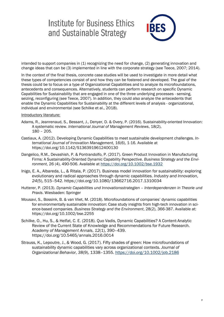

intended to support companies in (1) recognizing the need for change, (2) generating innovation and change ideas that can be (3) implemented in line with the corporate strategy (see Teece, 2007; 2014).

In the context of the final thesis, concrete case studies will be used to investigate in more detail what these types of competencies consist of and how they can be fostered and developed. The goal of the thesis could be to focus on a type of Organizational Capabilities and to analyze its microfoundations, antecedents and consequences. Alternatively, students can perform research on specific Dynamic Capabilities for Sustainability that are engaged in one of the three underlying processes - sensing, seizing, reconfiguring (see Teece, 2007). In addition, they could also analyze the antecedents that enable the Dynamic Capabilities for Sustainability at the different levels of analysis - organizational, individual and environmental (see Schilke et al., 2018).

#### Introductory literature:

- Adams, R., Jeanrenaud, S., Bessant, J., Denyer, D. & Overy, P. (2016). Sustainability-oriented Innovation: A systematic review. *International Journal of Management Reviews*, 18(2), 180 – 205.
- Castiaux, A. (2012). Developing Dynamic Capabilities to meet sustainable development challenges. *International Journal of Innovation Management,* 16(6), 1-16. Available at <https://doi.org/10.1142/S1363919612400130>
- Dangelico, R.M., Devashish, P. & Pontrandolfo, P. (2017). Green Product Innovation in Manufacturing Firms: A Sustainability-Oriented Dynamic Capability Perspective. *Business Strategy and the Environment*, 26 (4), 490-506. Available at <https://doi.org/10.1002/bse.1932>
- Inigo, E. A., Albareda, L., & Ritala, P. (2017). Business model innovation for sustainability: exploring evolutionary and radical approaches through dynamic capabilities. *Industry and Innovation*, *24*(5), 515–542. https://doi.org/10.1080/13662716.2017.1310034
- Hutterer, P. (2013). *Dynamic Capabilities und Innovationsstrategien – Interdependenzen in Theorie und Praxis*. Wiesbaden: Springer
- Mousavi, S., Bossink, B. & van Vliet, M. (2018). Microfoundations of companies' dynamic capabilities for environmentally sustainable innovation: Case study insights from high-tech innovation in science-based companies. *Business Strategy and the Environment*, 28(2), 366-387. Available at: <https://doi.org/10.1002/bse.2255>
- Schilke, O., Hu, S., & Helfat, C. E. (2018). Quo Vadis, Dynamic Capabilities? A Content-Analytic Review of the Current State of Knowledge and Recommendations for Future Research. *Academy of Management Annals*, *12*(1), 390–439. https://doi.org/10.5465/annals.2016.0014
- Strauss, K., Lepoutre, J., & Wood, G. (2017). Fifty shades of green: How microfoundations of sustainability dynamic capabilities vary across organizational contexts. *Journal of Organizational Behavior*, *38*(9), 1338–1355.<https://doi.org/10.1002/job.2186>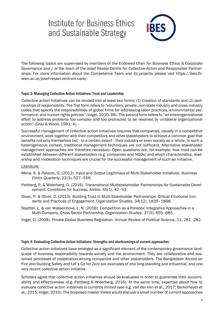

The following topics are supervised by members of the Endowed Chair for Business Ethics & Corporate Governance and / or the team of the Josef Ressel Centre for Collective Action and Responsible Partnerships. For more information about the Competence Team and its projects please visit https://ibes.fhwien.ac.at/josef-ressel-zentrum-care/

### Topic 3: Managing Collective Action Initiatives: Trust and Leadership

Collective action initiatives can be divided into at least two forms: (1) Creation of standards and (2) partnerships of responsibility. The first form refers to "voluntary, private, non-state industry and cross-industry codes that specify the responsibilities of global firms for addressing labor practices, environmental performance, and human rights policies" (Vogel, 2010: 68). The second form refers to "an interorganizational effort to address problems too complex and too protracted to be resolved by unilateral organizational action" (Gray & Wood, 1991: 4).

Successful management of collective action initiatives requires that companies, usually in a competitive environment, work together with their competitors and other stakeholders to achieve a common goal that benefits not only themselves but - to a certain extent - their industry or even society as a whole. In such a heterogeneous context, traditional management techniques are not sufficient. Alternative stakeholder management approaches are therefore necessary. Open questions are, for example, how trust can be established between different stakeholders (e.g. companies and NGOs) and which characteristics, leadership and moderation techniques are crucial for the successful management of such an initiative.

#### Literature:

- Mena, S. & Palazzo, G. (2012). Input and Output Legitimacy of Multi-Stakeholder Initiatives. *Business Ethics Quarterly*, 22(3), 527–556.
- Pattberg, P. & Widerberg, O. (2016). Transnational Multistakeholder Partnerships for Sustainable Development: Conditions for Success. *Ambio*, 45(1), 42–51.
- Sloan, P. & Oliver, D. (2013). Building Trust in Multi-Stakeholder Partnerships: Critical Emotional Incidents and Practices of Engagement*. Organization Studies*, 34(12), 1835–1868.
- Stadtler, L. & van Wassenhove, L. N. (2016). Competition as a Paradox: Integrative Approaches in a Multi-Company, Cross-Sector Partnership. *Organization Studies*, 37(5), 655–685.
- Vogel, D. (2008). Private Global Business Regulation. *Annual Review of Political Science*, 11, 261–282.

#### Topic 4: Evaluating Collective Action Initiatives: Strengths and shortcomings of current approaches

Collective action initiatives have emerged as a significant element of the contemporary governance landscape of business responsibility towards society and the environment. They are collaborative and sustained processes of cooperation among companies and other stakeholders. The Bangladesh Accord on Fire and Building Safety and Let's Go for Zero are examples of one long-standing and influential, and one very recent collective action initiative.

Scholars agree that collective action initiatives should be evaluated in order to guarantee their accountability and effectiveness (e.g. Pattberg & Widerberg, 2016). At the same time, expertise about how to evaluate collective action initiatives is currently limited (see e.g. van der Ven et al., 2017; Barkemeyer et al., 2015; Vogel, 2010). The proposed master thesis would discuss a small number of current approaches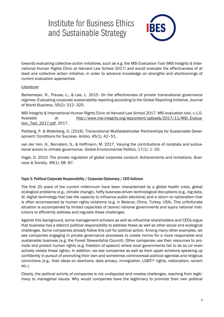

towards evaluating collective action initiatives, such as e.g. the MSI Evaluation Tool (MSI Integrity & International Human Rights Clinic at Harvard Law School 2017) and would evaluate the effectiveness of at least one collective action initiative, in order to advance knowledge on strengths and shortcomings of current evaluation approaches.

### Literature:

Barkemeyer, R., Preuss, L., & Lee, L. 2015. On the effectiveness of private transnational governance regimes: Evaluating corporate sustainability reporting according to the Global Reporting Initiative*. Journal of World Business*, 50(2): 312–325.

MSI Integrity & International Human Rights Clinic at Harvard Law School 2017. MSI evaluation tool, v.1.0. Available at [http://www.msi-integrity.org/wpcontent/uploads/2017/11/MSI\\_Evalua](http://www.msi-integrity.org/wpcontent/uploads/2017/11/MSI_Evaluation_Tool_2017.pdf)[tion\\_Tool\\_2017.pdf,](http://www.msi-integrity.org/wpcontent/uploads/2017/11/MSI_Evaluation_Tool_2017.pdf) 2017.

Pattberg, P. & Widerberg, O. (2016). Transnational Multistakeholder Partnerships for Sustainable Development: Conditions for Success. *Ambio*, 45(1), 42–51.

van der Ven, H., Bernstein, S., & Hoffmann, M. 2017. Valuing the contributions of nonstate and subnational actors to climate governance. *Global Environmental Politics*, 17(1): 1–20.

Vogel, D. 2010. The private regulation of global corporate conduct: Achievements and limitations. *Business & Society*, 49(1): 68–87.

### Topic 5: Political Corporate Responsibility / Corporate Diplomacy / CEO Activism

The first 20 years of the current millennium have been characterized by a global health crisis, global ecological problems (e.g., climate change), hefty business-driven technological disruptions (e.g., big data, AI, digital technology that has the capacity to influence public elections) and a return to nationalism that is often accompanied by human rights violations (e.g. in Belarus, China, Turkey, USA). This unfortunate situation is accompanied by limited capacities of (some) national governments and supra national institutions to efficiently address and regulate these challenges.

Against this background, some management scholars as well as influential shareholders and CEOs argue that business has a distinct *political responsibility* to address these as well as other social and ecological challenges. Some companies already follow this call for political action. Among many other examples, we see companies engaging in private governance processes to create norms for a more responsible and sustainable business (e.g. the Forest Stewardship Council). Other companies use their resources to promote and protect human rights (e.g. freedom of speech) where local governments fail to do so (or even actively violate these rights). In addition, we see companies as well as their upper echelons speaking up confidently in pursuit of promoting their own and sometimes controversial political agendas and religious convictions (e.g., their ideas on abortions, data privacy, immigration, LGBTI\* rights, nationalism, racism etc.).

Clearly, the political activity of companies is not undisputed and creates challenges, reaching from legitimacy to managerial issues. Why would companies have the legitimacy to promote their own political